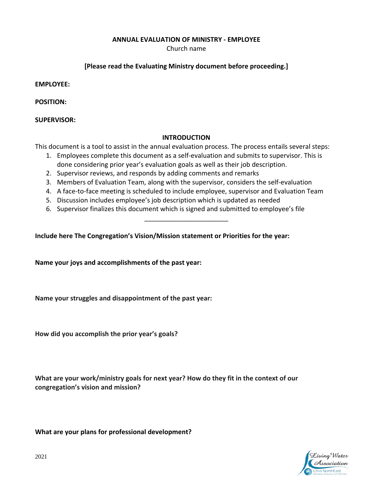**ANNUAL EVALUATION OF MINISTRY - EMPLOYEE**

Church name

## **[Please read the Evaluating Ministry document before proceeding.]**

**EMPLOYEE:** 

**POSITION:**

**SUPERVISOR:** 

## **INTRODUCTION**

This document is a tool to assist in the annual evaluation process. The process entails several steps:

- 1. Employees complete this document as a self-evaluation and submits to supervisor. This is done considering prior year's evaluation goals as well as their job description.
- 2. Supervisor reviews, and responds by adding comments and remarks
- 3. Members of Evaluation Team, along with the supervisor, considers the self-evaluation
- 4. A face-to-face meeting is scheduled to include employee, supervisor and Evaluation Team

\_\_\_\_\_\_\_\_\_\_\_\_\_\_\_\_\_\_\_\_\_\_\_

- 5. Discussion includes employee's job description which is updated as needed
- 6. Supervisor finalizes this document which is signed and submitted to employee's file

**Include here The Congregation's Vision/Mission statement or Priorities for the year:**

**Name your joys and accomplishments of the past year:**

**Name your struggles and disappointment of the past year:**

**How did you accomplish the prior year's goals?**

**What are your work/ministry goals for next year? How do they fit in the context of our congregation's vision and mission?** 

**What are your plans for professional development?**